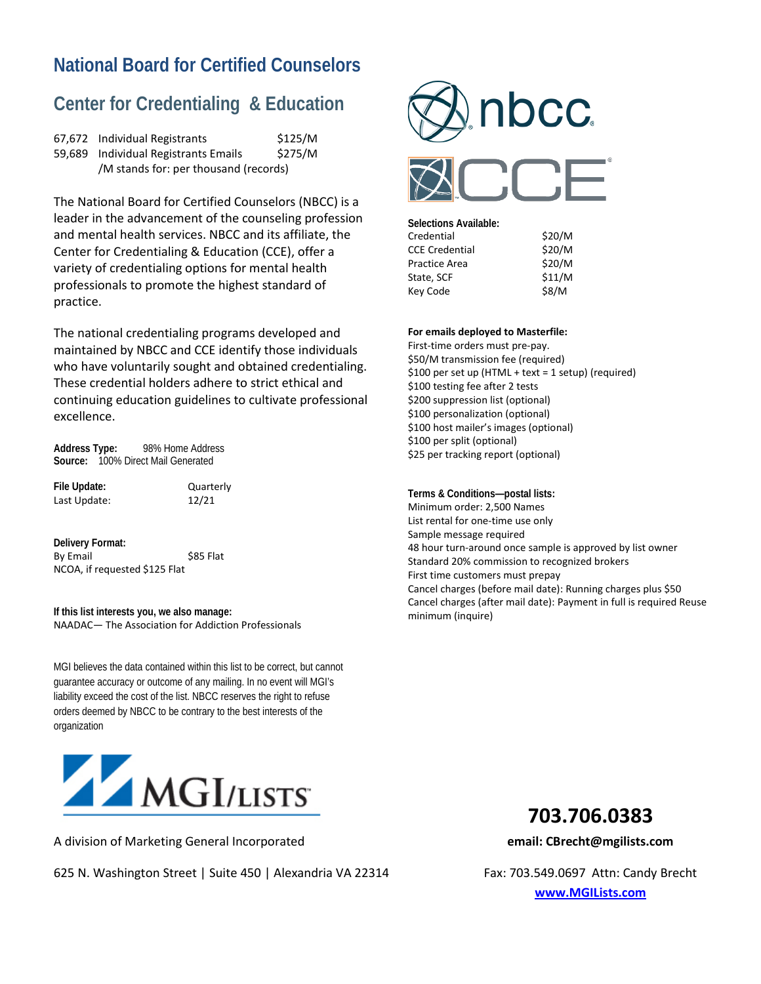# **National Board for Certified Counselors**

## **Center for Credentialing & Education**

| 67,672 Individual Registrants         | \$125/M |
|---------------------------------------|---------|
| 59,689 Individual Registrants Emails  | \$275/M |
| /M stands for: per thousand (records) |         |

The National Board for Certified Counselors (NBCC) is a leader in the advancement of the counseling profession and mental health services. NBCC and its affiliate, the Center for Credentialing & Education (CCE), offer a variety of credentialing options for mental health professionals to promote the highest standard of practice.

The national credentialing programs developed and maintained by NBCC and CCE identify those individuals who have voluntarily sought and obtained credentialing. These credential holders adhere to strict ethical and continuing education guidelines to cultivate professional excellence.

**Address Type:** 98% Home Address **Source:** 100% Direct Mail Generated

File Update: Quarterly Last Update: 12/21

**Delivery Format:** By Email \$85 Flat NCOA, if requested \$125 Flat

**If this list interests you, we also manage:** NAADAC— The Association for Addiction Professionals

MGI believes the data contained within this list to be correct, but cannot guarantee accuracy or outcome of any mailing. In no event will MGI's liability exceed the cost of the list. NBCC reserves the right to refuse orders deemed by NBCC to be contrary to the best interests of the organization



A division of Marketing General Incorporated **email: CBrecht@mgilists.com**

625 N. Washington Street | Suite 450 | Alexandria VA 22314 Fax: 703.549.0697 Attn: Candy Brecht



| Selections Available: |        |
|-----------------------|--------|
| Credential            | \$20/M |
| <b>CCE Credential</b> | \$20/M |
| Practice Area         | \$20/M |
| State, SCF            | \$11/M |
| Kev Code              | \$8/M  |
|                       |        |

**For emails deployed to Masterfile:**

First-time orders must pre-pay. \$50/M transmission fee (required) \$100 per set up (HTML + text = 1 setup) (required) \$100 testing fee after 2 tests \$200 suppression list (optional) \$100 personalization (optional) \$100 host mailer's images (optional) \$100 per split (optional) \$25 per tracking report (optional)

**Terms & Conditions—postal lists:** Minimum order: 2,500 Names List rental for one-time use only Sample message required 48 hour turn-around once sample is approved by list owner Standard 20% commission to recognized brokers First time customers must prepay Cancel charges (before mail date): Running charges plus \$50 Cancel charges (after mail date): Payment in full is required Reuse minimum (inquire)



**[www.MGILists.com](http://www.mgilists.com/)**